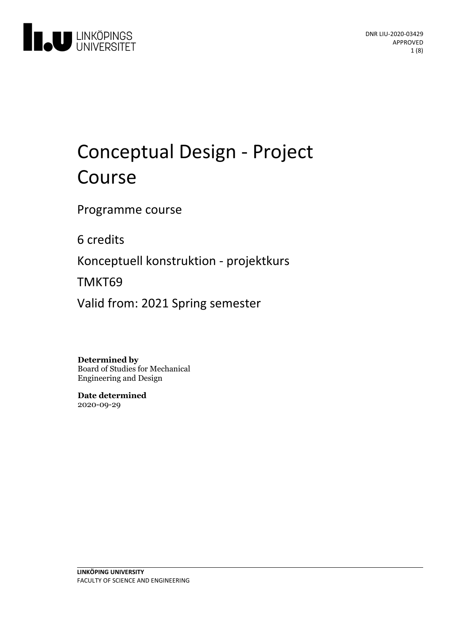

# Conceptual Design - Project Course

Programme course

6 credits

Konceptuell konstruktion - projektkurs

TMKT69

Valid from: 2021 Spring semester

**Determined by**

Board of Studies for Mechanical Engineering and Design

**Date determined** 2020-09-29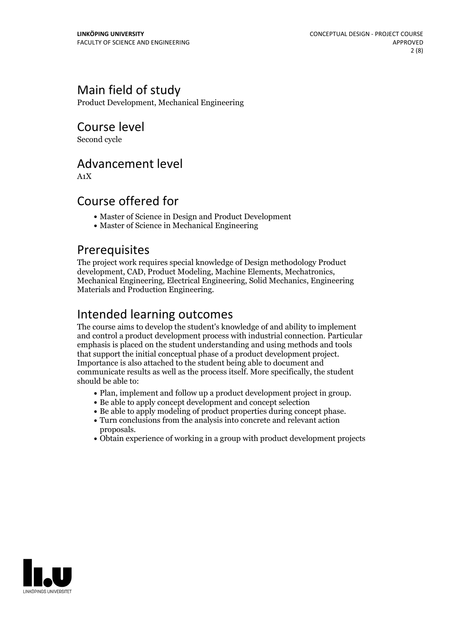# Main field of study

Product Development, Mechanical Engineering

Course level

Second cycle

### Advancement level

A1X

## Course offered for

- Master of Science in Design and Product Development
- Master of Science in Mechanical Engineering

### Prerequisites

The project work requires special knowledge of Design methodology Product development. CAD. Product Modeling. Machine Elements. Mechatronics. Mechanical Engineering, Electrical Engineering, Solid Mechanics, Engineering Materials and Production Engineering.

# Intended learning outcomes

The course aims to develop the student's knowledge of and ability to implement and control a product development process with industrial connection. Particular emphasis is placed on the student understanding and using methods and tools that support the initial conceptual phase of <sup>a</sup> product development project. Importance is also attached to the student being able to document and communicate results as well as the process itself. More specifically, the student should be able to:

- Plan, implement and follow up a product development project in group.<br>• Be able to apply concept development and concept selection
- 
- Be able to apply modeling of product properties during concept phase. Turn conclusions from the analysis into concrete and relevant action
- proposals.<br>• Obtain experience of working in a group with product development projects
- 

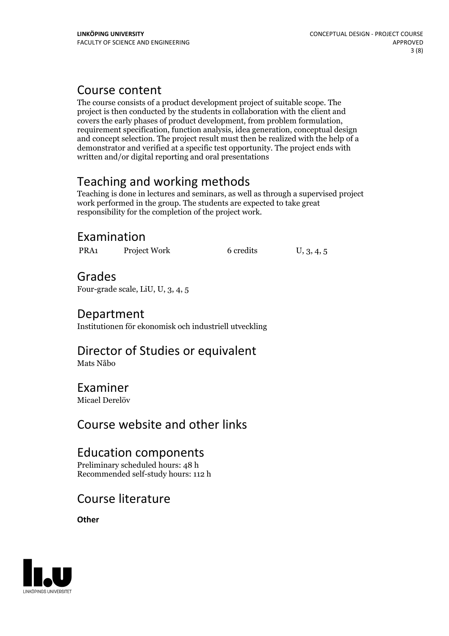# Course content

The course consists of a product development project of suitable scope. The project is then conducted by the students in collaboration with the client and covers the early phases of product development, from problem formulation, requirement specification, function analysis, idea generation, conceptual design and concept selection. The project result must then be realized with the help of a demonstrator and verified at a specific test opportunity. The project ends with written and/or digital reporting and oral presentations

# Teaching and working methods

Teaching is done in lectures and seminars, as well as through a supervised project work performed in the group. The students are expected to take great responsibility for the completion of the project work.

# Examination

PRA1 Project Work 6 credits U, 3, 4, 5

### Grades Four-grade scale, LiU, U, 3, 4, 5

# Department

Institutionen för ekonomisk och industriell utveckling

# Director of Studies or equivalent

Mats Nåbo

### Examiner Micael Derelöv

Course website and other links

## Education components

Preliminary scheduled hours: 48 h Recommended self-study hours: 112 h

# Course literature

**Other**

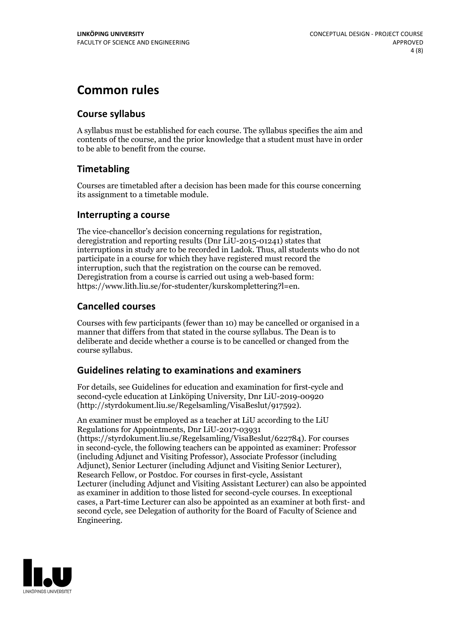# **Common rules**

### **Course syllabus**

A syllabus must be established for each course. The syllabus specifies the aim and contents of the course, and the prior knowledge that a student must have in order to be able to benefit from the course.

### **Timetabling**

Courses are timetabled after a decision has been made for this course concerning its assignment to a timetable module.

### **Interrupting a course**

The vice-chancellor's decision concerning regulations for registration, deregistration and reporting results (Dnr LiU-2015-01241) states that interruptions in study are to be recorded in Ladok. Thus, all students who do not participate in a course for which they have registered must record the interruption, such that the registration on the course can be removed. Deregistration from <sup>a</sup> course is carried outusing <sup>a</sup> web-based form: https://www.lith.liu.se/for-studenter/kurskomplettering?l=en.

### **Cancelled courses**

Courses with few participants (fewer than 10) may be cancelled or organised in a manner that differs from that stated in the course syllabus. The Dean is to deliberate and decide whether a course is to be cancelled or changed from the course syllabus.

### **Guidelines relatingto examinations and examiners**

For details, see Guidelines for education and examination for first-cycle and second-cycle education at Linköping University, Dnr LiU-2019-00920 (http://styrdokument.liu.se/Regelsamling/VisaBeslut/917592).

An examiner must be employed as a teacher at LiU according to the LiU Regulations for Appointments, Dnr LiU-2017-03931 (https://styrdokument.liu.se/Regelsamling/VisaBeslut/622784). For courses in second-cycle, the following teachers can be appointed as examiner: Professor (including Adjunct and Visiting Professor), Associate Professor (including Adjunct), Senior Lecturer (including Adjunct and Visiting Senior Lecturer), Research Fellow, or Postdoc. For courses in first-cycle, Assistant Lecturer (including Adjunct and Visiting Assistant Lecturer) can also be appointed as examiner in addition to those listed for second-cycle courses. In exceptional cases, a Part-time Lecturer can also be appointed as an examiner at both first- and second cycle, see Delegation of authority for the Board of Faculty of Science and Engineering.

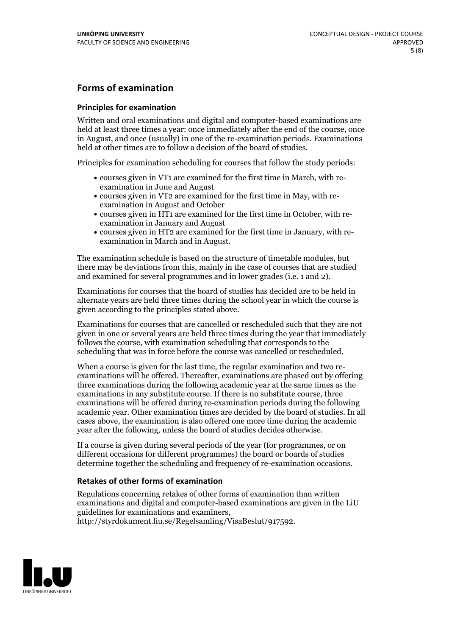### **Forms of examination**

#### **Principles for examination**

Written and oral examinations and digital and computer-based examinations are held at least three times a year: once immediately after the end of the course, once in August, and once (usually) in one of the re-examination periods. Examinations held at other times are to follow a decision of the board of studies.

Principles for examination scheduling for courses that follow the study periods:

- courses given in VT1 are examined for the first time in March, with re-examination in June and August
- courses given in VT2 are examined for the first time in May, with re-examination in August and October
- courses given in HT1 are examined for the first time in October, with re-examination in January and August
- courses given in HT2 are examined for the first time in January, with re-examination in March and in August.

The examination schedule is based on the structure of timetable modules, but there may be deviations from this, mainly in the case of courses that are studied and examined for several programmes and in lower grades (i.e. 1 and 2).

Examinations for courses that the board of studies has decided are to be held in alternate years are held three times during the school year in which the course is given according to the principles stated above.

Examinations for courses that are cancelled orrescheduled such that they are not given in one or several years are held three times during the year that immediately follows the course, with examination scheduling that corresponds to the scheduling that was in force before the course was cancelled or rescheduled.

When a course is given for the last time, the regular examination and two re-<br>examinations will be offered. Thereafter, examinations are phased out by offering three examinations during the following academic year at the same times as the examinations in any substitute course. If there is no substitute course, three examinations will be offered during re-examination periods during the following academic year. Other examination times are decided by the board of studies. In all cases above, the examination is also offered one more time during the academic year after the following, unless the board of studies decides otherwise.

If a course is given during several periods of the year (for programmes, or on different occasions for different programmes) the board or boards of studies determine together the scheduling and frequency of re-examination occasions.

#### **Retakes of other forms of examination**

Regulations concerning retakes of other forms of examination than written examinations and digital and computer-based examinations are given in the LiU guidelines for examinations and examiners, http://styrdokument.liu.se/Regelsamling/VisaBeslut/917592.

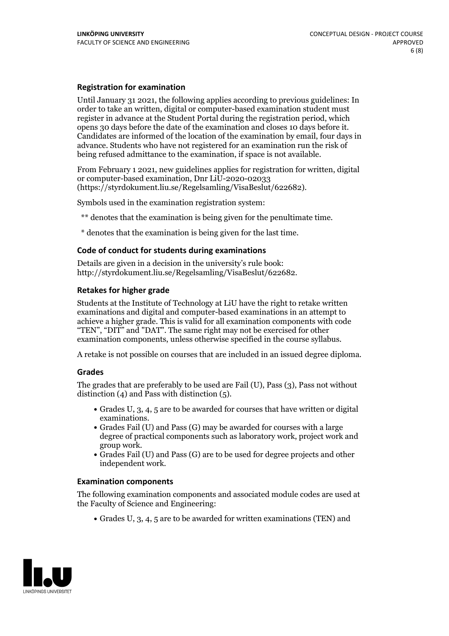#### **Registration for examination**

Until January 31 2021, the following applies according to previous guidelines: In order to take an written, digital or computer-based examination student must register in advance at the Student Portal during the registration period, which Candidates are informed of the location of the examination by email, four days in advance. Students who have not registered for an examination run the risk of being refused admittance to the examination, if space is not available.

From February 1 2021, new guidelines applies for registration for written, digital or computer-based examination, Dnr LiU-2020-02033 (https://styrdokument.liu.se/Regelsamling/VisaBeslut/622682).

Symbols used in the examination registration system:

\*\* denotes that the examination is being given for the penultimate time.

\* denotes that the examination is being given for the last time.

#### **Code of conduct for students during examinations**

Details are given in a decision in the university's rule book: http://styrdokument.liu.se/Regelsamling/VisaBeslut/622682.

### **Retakes for higher grade**

Students at the Institute of Technology at LiU have the right to retake written examinations and digital and computer-based examinations in an attempt to achieve a higher grade. This is valid for all examination components with code "TEN", "DIT" and "DAT". The same right may not be exercised for other examination components, unless otherwise specified in the course syllabus.

A retake is not possible on courses that are included in an issued degree diploma.

#### **Grades**

The grades that are preferably to be used are Fail (U), Pass (3), Pass not without distinction  $(4)$  and Pass with distinction  $(5)$ .

- Grades U, 3, 4, 5 are to be awarded for courses that have written or digital
- examinations.<br>• Grades Fail (U) and Pass (G) may be awarded for courses with a large degree of practical components such as laboratory work, project work and
- $\bullet$  Grades Fail (U) and Pass (G) are to be used for degree projects and other independent work.

#### **Examination components**

The following examination components and associated module codes are used at the Faculty of Science and Engineering:

Grades U, 3, 4, 5 are to be awarded for written examinations (TEN) and

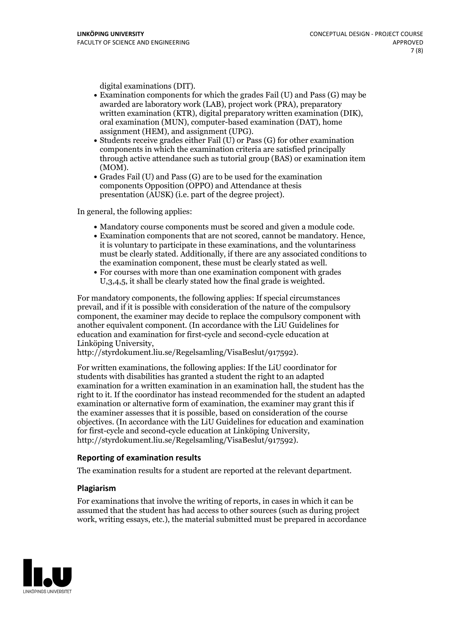- digital examinations (DIT).<br>• Examination components for which the grades Fail (U) and Pass (G) may be awarded are laboratory work (LAB), project work (PRA), preparatory written examination (KTR), digital preparatory written examination (DIK), oral examination (MUN), computer-based examination (DAT), home
- assignment (HEM), and assignment (UPG).<br>• Students receive grades either Fail (U) or Pass (G) for other examination components in which the examination criteria are satisfied principally through active attendance such as tutorial group (BAS) or examination item
- (MOM).<br>• Grades Fail (U) and Pass (G) are to be used for the examination components Opposition (OPPO) and Attendance at thesis presentation (AUSK) (i.e. part of the degree project).

In general, the following applies:

- 
- Mandatory course components must be scored and given <sup>a</sup> module code. Examination components that are not scored, cannot be mandatory. Hence, it is voluntary to participate in these examinations, and the voluntariness must be clearly stated. Additionally, if there are any associated conditions to the examination component, these must be clearly stated as well.<br>• For courses with more than one examination component with grades
- U,3,4,5, it shall be clearly stated how the final grade is weighted.

For mandatory components, the following applies: If special circumstances prevail, and if it is possible with consideration of the nature ofthe compulsory component, the examiner may decide to replace the compulsory component with another equivalent component. (In accordance with the LiU Guidelines for education and examination for first-cycle and second-cycle education at Linköping University, http://styrdokument.liu.se/Regelsamling/VisaBeslut/917592).

For written examinations, the following applies: If the LiU coordinator for students with disabilities has granted a student the right to an adapted examination for a written examination in an examination hall, the student has the right to it. If the coordinator has instead recommended for the student an adapted examination or alternative form of examination, the examiner may grant this if the examiner assesses that it is possible, based on consideration of the course objectives. (In accordance with the LiU Guidelines for education and examination for first-cycle and second-cycle education at Linköping University, http://styrdokument.liu.se/Regelsamling/VisaBeslut/917592).

#### **Reporting of examination results**

The examination results for a student are reported at the relevant department.

#### **Plagiarism**

For examinations that involve the writing of reports, in cases in which it can be assumed that the student has had access to other sources (such as during project work, writing essays, etc.), the material submitted must be prepared in accordance